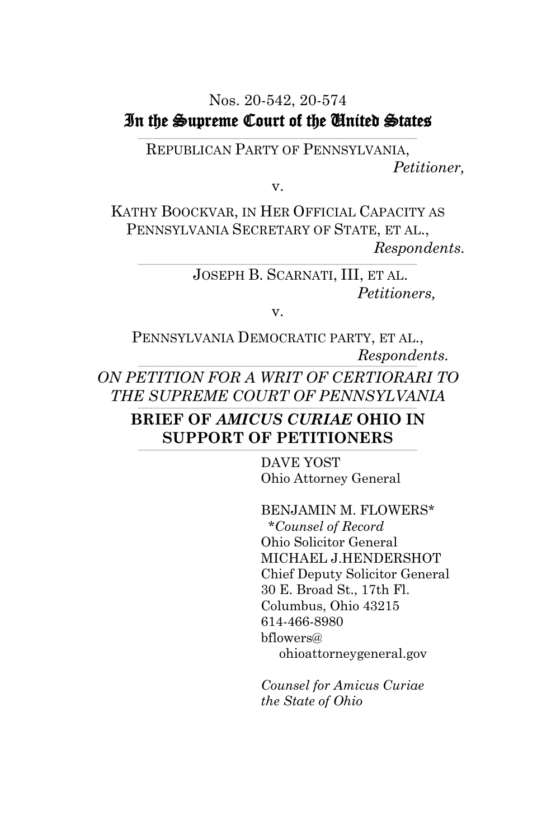#### Nos. 20-542, 20-574 In the Supreme Court of the United States **\_\_\_\_\_\_\_\_\_\_\_\_\_\_\_\_\_\_\_\_\_\_\_\_\_\_\_\_\_\_\_\_\_\_\_\_\_\_\_\_\_\_\_\_\_\_\_\_\_\_\_\_\_\_\_\_\_\_\_\_\_\_\_\_\_\_\_\_\_\_\_\_\_\_\_\_\_\_\_\_\_\_\_\_\_\_\_\_\_\_\_\_\_\_\_\_\_\_\_\_\_\_\_\_\_\_\_\_\_\_\_**

REPUBLICAN PARTY OF PENNSYLVANIA, *Petitioner,*

v.

KATHY BOOCKVAR, IN HER OFFICIAL CAPACITY AS PENNSYLVANIA SECRETARY OF STATE, ET AL., *Respondents.*

> JOSEPH B. SCARNATI, III, ET AL. *Petitioners,*

> > v.

PENNSYLVANIA DEMOCRATIC PARTY, ET AL., *Respondents.* **\_\_\_\_\_\_\_\_\_\_\_\_\_\_\_\_\_\_\_\_\_\_\_\_\_\_\_\_\_\_\_\_\_\_\_\_\_\_\_\_\_\_\_\_\_\_\_\_\_\_\_\_\_\_\_\_\_\_\_\_\_\_\_\_\_\_\_\_\_\_\_\_\_\_\_\_\_\_\_\_\_\_\_\_\_\_\_\_\_\_\_\_\_\_\_\_\_\_\_\_\_\_\_\_\_\_\_\_\_\_\_** *ON PETITION FOR A WRIT OF CERTIORARI TO* 

*THE SUPREME COURT OF PENNSYLVANIA* **\_\_\_\_\_\_\_\_\_\_\_\_\_\_\_\_\_\_\_\_\_\_\_\_\_\_\_\_\_\_\_\_\_\_\_\_\_\_\_\_\_\_\_\_\_\_\_\_\_\_\_\_\_\_\_\_\_\_\_\_\_\_\_\_\_\_\_\_\_\_\_\_\_\_\_\_\_\_\_\_\_\_\_\_\_\_\_\_\_\_\_\_\_\_\_\_\_\_\_\_\_\_\_\_\_\_\_\_\_\_\_**

#### **BRIEF OF** *AMICUS CURIAE* **OHIO IN SUPPORT OF PETITIONERS \_\_\_\_\_\_\_\_\_\_\_\_\_\_\_\_\_\_\_\_\_\_\_\_\_\_\_\_\_\_\_\_\_\_\_\_\_\_\_\_\_\_\_\_\_\_\_\_\_\_\_\_\_\_\_\_\_\_\_\_\_\_\_\_\_\_\_\_\_\_\_\_\_\_\_\_\_\_\_\_\_\_\_\_\_\_\_\_\_\_\_\_\_\_\_\_\_\_\_\_\_\_\_\_\_\_\_\_\_\_\_**

DAVE YOST Ohio Attorney General

BENJAMIN M. FLOWERS\* \**Counsel of Record* Ohio Solicitor General MICHAEL J.HENDERSHOT Chief Deputy Solicitor General 30 E. Broad St., 17th Fl. Columbus, Ohio 43215 614-466-8980 bflowers@ ohioattorneygeneral.gov

*Counsel for Amicus Curiae the State of Ohio*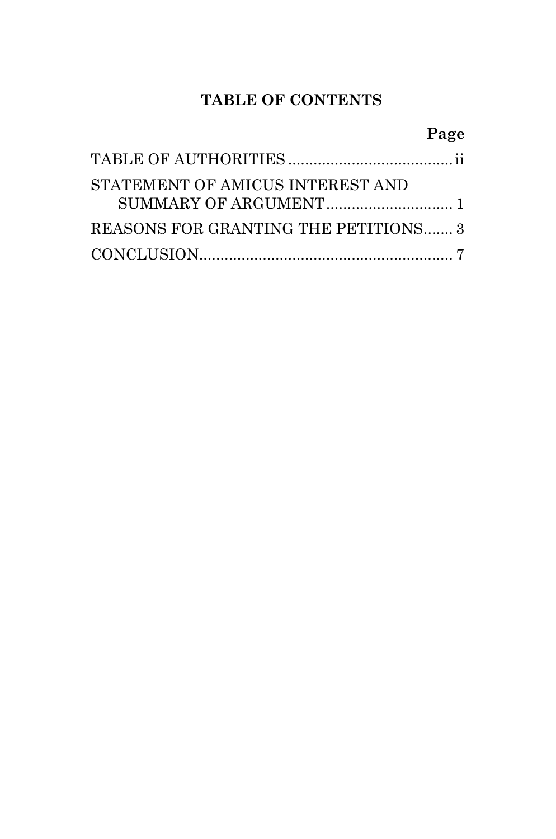## **TABLE OF CONTENTS**

### **Page**

| STATEMENT OF AMICUS INTEREST AND     |  |
|--------------------------------------|--|
| REASONS FOR GRANTING THE PETITIONS 3 |  |
|                                      |  |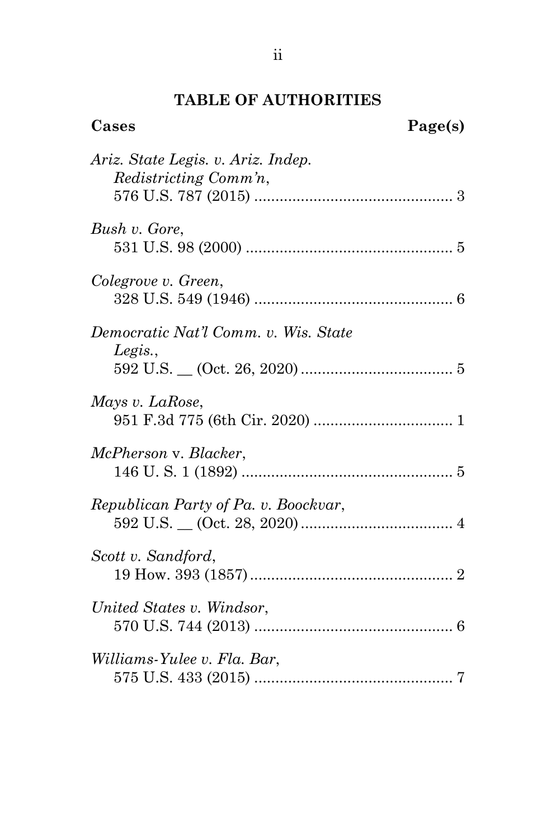# **TABLE OF AUTHORITIES**

| Cases                                                       | Page(s) |
|-------------------------------------------------------------|---------|
| Ariz. State Legis. v. Ariz. Indep.<br>Redistricting Comm'n, |         |
| Bush v. Gore,                                               |         |
| Colegrove v. Green,                                         |         |
| Democratic Nat'l Comm. v. Wis. State<br>Legis.,             |         |
| Mays v. LaRose,                                             |         |
| McPherson v. Blacker,                                       |         |
| Republican Party of Pa. v. Boockvar,                        |         |
| Scott v. Sandford,                                          |         |
| United States v. Windsor,                                   |         |
| Williams-Yulee v. Fla. Bar,                                 |         |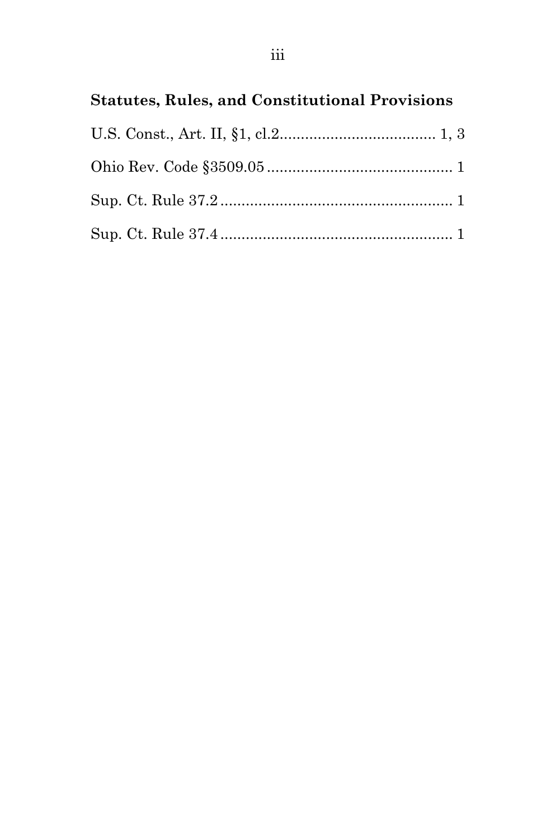# **Statutes, Rules, and Constitutional Provisions**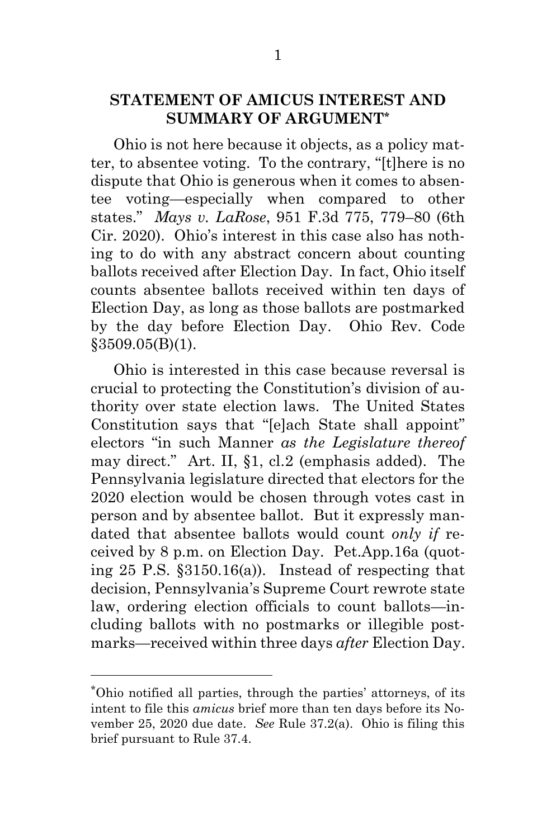### **STATEMENT OF AMICUS INTEREST AND SUMMARY OF ARGUMENT\***

<span id="page-4-0"></span>Ohio is not here because it objects, as a policy matter, to absentee voting. To the contrary, "[t]here is no dispute that Ohio is generous when it comes to absentee voting—especially when compared to other states." *Mays v. LaRose*, 951 F.3d 775, 779–80 (6th Cir. 2020). Ohio's interest in this case also has nothing to do with any abstract concern about counting ballots received after Election Day. In fact, Ohio itself counts absentee ballots received within ten days of Election Day, as long as those ballots are postmarked by the day before Election Day. Ohio Rev. Code §3509.05(B)(1).

<span id="page-4-2"></span><span id="page-4-1"></span>Ohio is interested in this case because reversal is crucial to protecting the Constitution's division of authority over state election laws. The United States Constitution says that "[e]ach State shall appoint" electors "in such Manner *as the Legislature thereof*  may direct." Art. II, §1, cl.2 (emphasis added). The Pennsylvania legislature directed that electors for the 2020 election would be chosen through votes cast in person and by absentee ballot. But it expressly mandated that absentee ballots would count *only if* received by 8 p.m. on Election Day. Pet.App.16a (quoting 25 P.S. §3150.16(a)). Instead of respecting that decision, Pennsylvania's Supreme Court rewrote state law, ordering election officials to count ballots—including ballots with no postmarks or illegible postmarks—received within three days *after* Election Day.

l

<span id="page-4-4"></span><span id="page-4-3"></span><sup>\*</sup>Ohio notified all parties, through the parties' attorneys, of its intent to file this *amicus* brief more than ten days before its November 25, 2020 due date. *See* Rule 37.2(a). Ohio is filing this brief pursuant to Rule 37.4.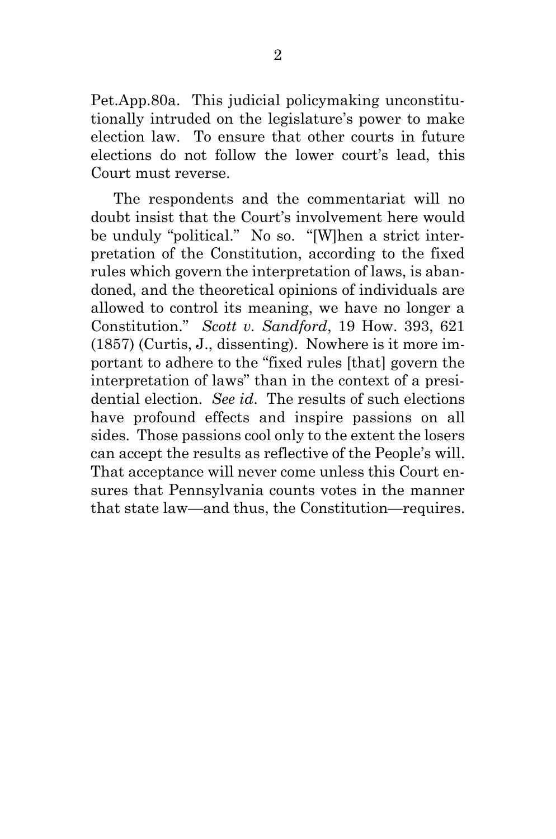Pet.App.80a. This judicial policymaking unconstitutionally intruded on the legislature's power to make election law. To ensure that other courts in future elections do not follow the lower court's lead, this Court must reverse.

<span id="page-5-0"></span>The respondents and the commentariat will no doubt insist that the Court's involvement here would be unduly "political." No so. "[W]hen a strict interpretation of the Constitution, according to the fixed rules which govern the interpretation of laws, is abandoned, and the theoretical opinions of individuals are allowed to control its meaning, we have no longer a Constitution." *Scott v. Sandford*, 19 How. 393, 621 (1857) (Curtis, J., dissenting). Nowhere is it more important to adhere to the "fixed rules [that] govern the interpretation of laws" than in the context of a presidential election. *See id*. The results of such elections have profound effects and inspire passions on all sides. Those passions cool only to the extent the losers can accept the results as reflective of the People's will. That acceptance will never come unless this Court ensures that Pennsylvania counts votes in the manner that state law—and thus, the Constitution—requires.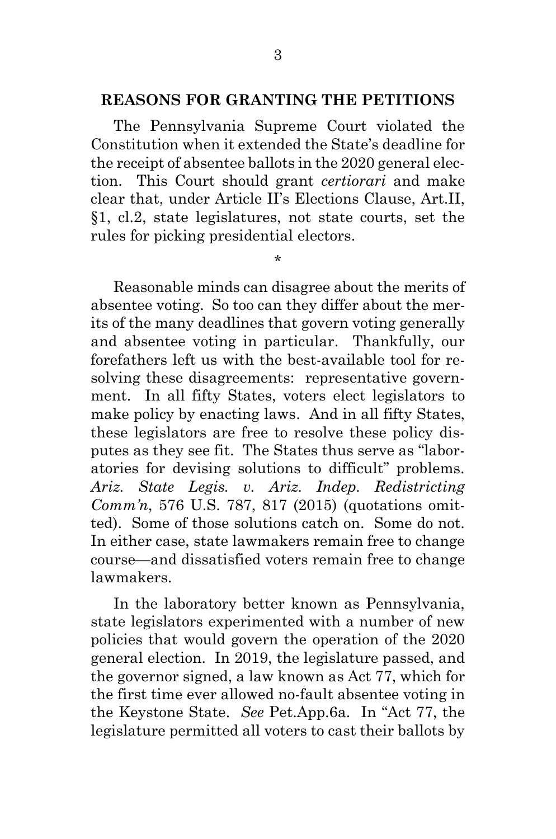#### **REASONS FOR GRANTING THE PETITIONS**

The Pennsylvania Supreme Court violated the Constitution when it extended the State's deadline for the receipt of absentee ballots in the 2020 general election. This Court should grant *certiorari* and make clear that, under Article II's Elections Clause, Art.II, §1, cl.2, state legislatures, not state courts, set the rules for picking presidential electors.

<span id="page-6-1"></span>\*

Reasonable minds can disagree about the merits of absentee voting. So too can they differ about the merits of the many deadlines that govern voting generally and absentee voting in particular. Thankfully, our forefathers left us with the best-available tool for resolving these disagreements: representative government. In all fifty States, voters elect legislators to make policy by enacting laws. And in all fifty States, these legislators are free to resolve these policy disputes as they see fit. The States thus serve as "laboratories for devising solutions to difficult" problems. *Ariz. State Legis. v. Ariz. Indep. Redistricting Comm'n*, 576 U.S. 787, 817 (2015) (quotations omitted). Some of those solutions catch on. Some do not. In either case, state lawmakers remain free to change course—and dissatisfied voters remain free to change lawmakers.

<span id="page-6-0"></span>In the laboratory better known as Pennsylvania, state legislators experimented with a number of new policies that would govern the operation of the 2020 general election. In 2019, the legislature passed, and the governor signed, a law known as Act 77, which for the first time ever allowed no-fault absentee voting in the Keystone State. *See* Pet.App.6a. In "Act 77, the legislature permitted all voters to cast their ballots by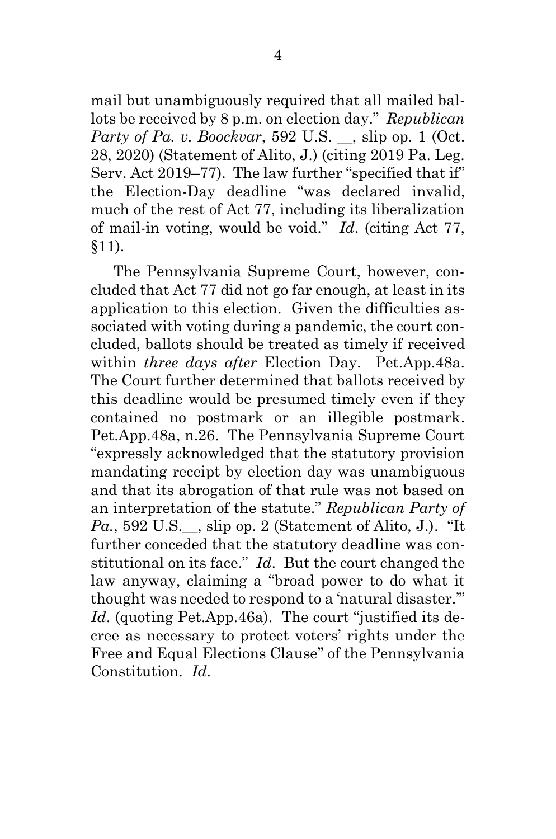<span id="page-7-0"></span>mail but unambiguously required that all mailed ballots be received by 8 p.m. on election day." *Republican Party of Pa. v. Boockvar*, 592 U.S., slip op. 1 (Oct.) 28, 2020) (Statement of Alito, J.) (citing 2019 Pa. Leg. Serv. Act 2019–77). The law further "specified that if" the Election-Day deadline "was declared invalid, much of the rest of Act 77, including its liberalization of mail-in voting, would be void." *Id*. (citing Act 77, §11).

The Pennsylvania Supreme Court, however, concluded that Act 77 did not go far enough, at least in its application to this election. Given the difficulties associated with voting during a pandemic, the court concluded, ballots should be treated as timely if received within *three days after* Election Day. Pet.App.48a. The Court further determined that ballots received by this deadline would be presumed timely even if they contained no postmark or an illegible postmark. Pet.App.48a, n.26. The Pennsylvania Supreme Court "expressly acknowledged that the statutory provision mandating receipt by election day was unambiguous and that its abrogation of that rule was not based on an interpretation of the statute." *Republican Party of Pa.*, 592 U.S.\_\_, slip op. 2 (Statement of Alito, J.). "It further conceded that the statutory deadline was constitutional on its face." *Id*. But the court changed the law anyway, claiming a "broad power to do what it thought was needed to respond to a 'natural disaster.'" *Id*. (quoting Pet.App.46a). The court "justified its decree as necessary to protect voters' rights under the Free and Equal Elections Clause" of the Pennsylvania Constitution. *Id*.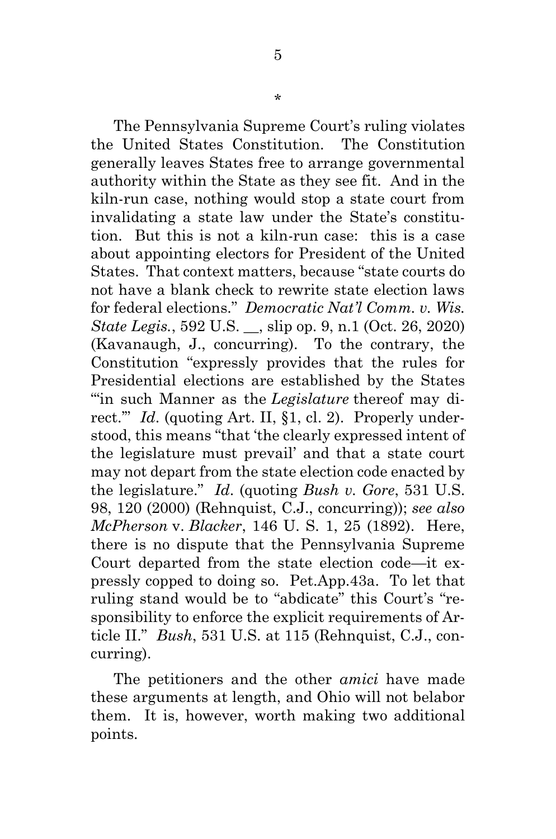<span id="page-8-1"></span>The Pennsylvania Supreme Court's ruling violates the United States Constitution. The Constitution generally leaves States free to arrange governmental authority within the State as they see fit. And in the kiln-run case, nothing would stop a state court from invalidating a state law under the State's constitution. But this is not a kiln-run case: this is a case about appointing electors for President of the United States. That context matters, because "state courts do not have a blank check to rewrite state election laws for federal elections." *Democratic Nat'l Comm. v. Wis. State Legis.*, 592 U.S., slip op. 9, n.1 (Oct. 26, 2020) (Kavanaugh, J., concurring). To the contrary, the Constitution "expressly provides that the rules for Presidential elections are established by the States "'in such Manner as the *Legislature* thereof may direct.'" *Id*. (quoting Art. II, §1, cl. 2). Properly understood, this means "that 'the clearly expressed intent of the legislature must prevail' and that a state court may not depart from the state election code enacted by the legislature." *Id*. (quoting *Bush v. Gore*, 531 U.S. 98, 120 (2000) (Rehnquist, C.J., concurring)); *see also McPherson* v. *Blacker*, 146 U. S. 1, 25 (1892). Here, there is no dispute that the Pennsylvania Supreme Court departed from the state election code—it expressly copped to doing so. Pet.App.43a. To let that ruling stand would be to "abdicate" this Court's "responsibility to enforce the explicit requirements of Article II." *Bush*, 531 U.S. at 115 (Rehnquist, C.J., concurring).

<span id="page-8-2"></span><span id="page-8-0"></span>The petitioners and the other *amici* have made these arguments at length, and Ohio will not belabor them. It is, however, worth making two additional points.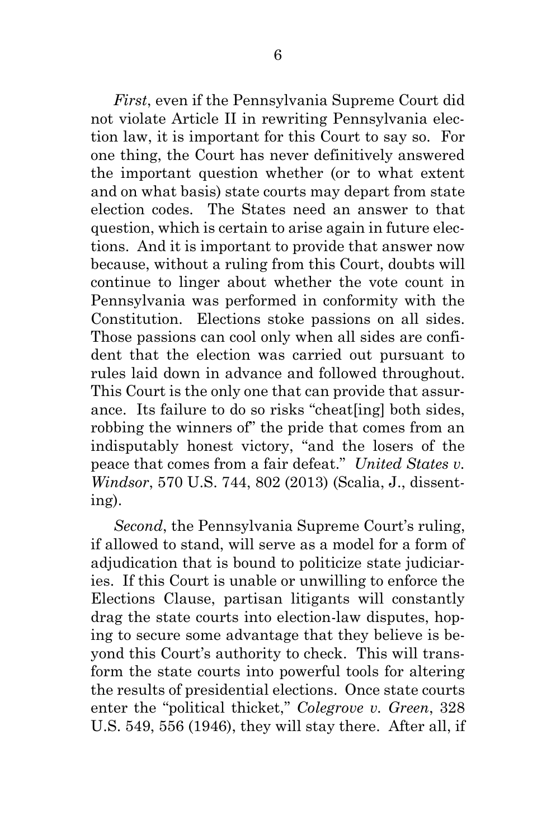*First*, even if the Pennsylvania Supreme Court did not violate Article II in rewriting Pennsylvania election law, it is important for this Court to say so. For one thing, the Court has never definitively answered the important question whether (or to what extent and on what basis) state courts may depart from state election codes. The States need an answer to that question, which is certain to arise again in future elections. And it is important to provide that answer now because, without a ruling from this Court, doubts will continue to linger about whether the vote count in Pennsylvania was performed in conformity with the Constitution. Elections stoke passions on all sides. Those passions can cool only when all sides are confident that the election was carried out pursuant to rules laid down in advance and followed throughout. This Court is the only one that can provide that assurance. Its failure to do so risks "cheat[ing] both sides, robbing the winners of" the pride that comes from an indisputably honest victory, "and the losers of the peace that comes from a fair defeat." *United States v. Windsor*, 570 U.S. 744, 802 (2013) (Scalia, J., dissenting).

<span id="page-9-1"></span><span id="page-9-0"></span>*Second*, the Pennsylvania Supreme Court's ruling, if allowed to stand, will serve as a model for a form of adjudication that is bound to politicize state judiciaries. If this Court is unable or unwilling to enforce the Elections Clause, partisan litigants will constantly drag the state courts into election-law disputes, hoping to secure some advantage that they believe is beyond this Court's authority to check. This will transform the state courts into powerful tools for altering the results of presidential elections. Once state courts enter the "political thicket," *Colegrove v. Green*, 328 U.S. 549, 556 (1946), they will stay there. After all, if